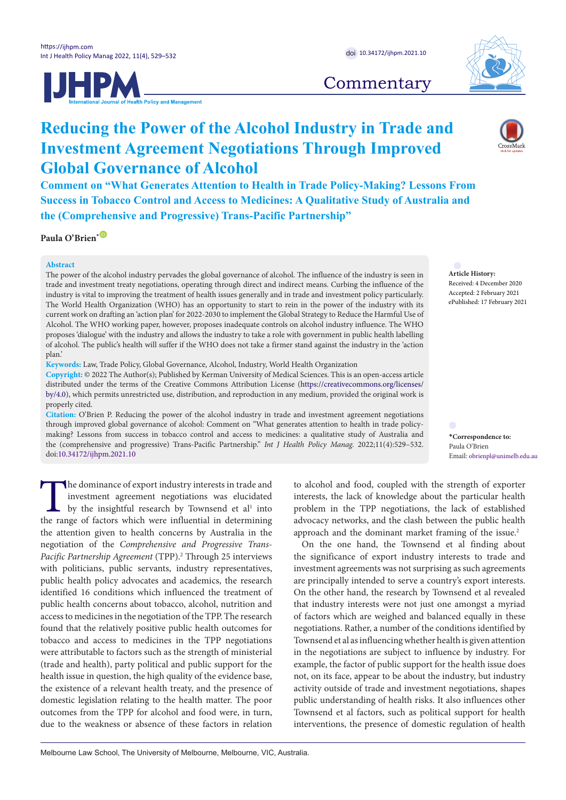

**Commentary** 

# **Reducing the Power of the Alcohol Industry in Trade and Investment Agreement Negotiations Through Improved Global Governance of Alcohol**

**Comment on "What Generates Attention to Health in Trade Policy-Making? Lessons From Success in Tobacco Control and Access to Medicines: A Qualitative Study of Australia and the (Comprehensive and Progressive) Trans-Pacific Partnership"**

**Paula O'Brien[\\*](#page-0-0)** [ID](http://orcid.org/0000-0002-6879-0489)

# **Abstract**

The power of the alcohol industry pervades the global governance of alcohol. The influence of the industry is seen in trade and investment treaty negotiations, operating through direct and indirect means. Curbing the influence of the industry is vital to improving the treatment of health issues generally and in trade and investment policy particularly. The World Health Organization (WHO) has an opportunity to start to rein in the power of the industry with its current work on drafting an 'action plan' for 2022-2030 to implement the Global Strategy to Reduce the Harmful Use of Alcohol. The WHO working paper, however, proposes inadequate controls on alcohol industry influence. The WHO proposes 'dialogue' with the industry and allows the industry to take a role with government in public health labelling of alcohol. The public's health will suffer if the WHO does not take a firmer stand against the industry in the 'action plan.'

**Keywords:** Law, Trade Policy, Global Governance, Alcohol, Industry, World Health Organization

**Copyright:** © 2022 The Author(s); Published by Kerman University of Medical Sciences. This is an open-access article distributed under the terms of the Creative Commons Attribution License [\(https://creativecommons.org/licenses/](https://creativecommons.org/licenses/by/4.0) [by/4.0](https://creativecommons.org/licenses/by/4.0)), which permits unrestricted use, distribution, and reproduction in any medium, provided the original work is properly cited.

**Citation:** O'Brien P. Reducing the power of the alcohol industry in trade and investment agreement negotiations through improved global governance of alcohol: Comment on "What generates attention to health in trade policymaking? Lessons from success in tobacco control and access to medicines: a qualitative study of Australia and the (comprehensive and progressive) Trans-Pacific Partnership." *Int J Health Policy Manag.* 2022;11(4):529–532. doi[:10.34172/ijhpm.2021.10](https://doi.org/10.34172/ijhpm.2021.10)

The dominance of export industry interests in trade and<br>investment agreement negotiations was elucidated<br>by the insightful research by Townsend et al<sup>1</sup> into<br>the range of factors which were influential in determining investment agreement negotiations was elucidated by the insightful research by Townsend et al<sup>1</sup> into the range of factors which were influential in determining the attention given to health concerns by Australia in the negotiation of the *Comprehensive and Progressive Trans-*Pacific Partnership Agreement (TPP).<sup>2</sup> Through 25 interviews with politicians, public servants, industry representatives, public health policy advocates and academics, the research identified 16 conditions which influenced the treatment of public health concerns about tobacco, alcohol, nutrition and access to medicines in the negotiation of the TPP. The research found that the relatively positive public health outcomes for tobacco and access to medicines in the TPP negotiations were attributable to factors such as the strength of ministerial (trade and health), party political and public support for the health issue in question, the high quality of the evidence base, the existence of a relevant health treaty, and the presence of domestic legislation relating to the health matter. The poor outcomes from the TPP for alcohol and food were, in turn, due to the weakness or absence of these factors in relation

to alcohol and food, coupled with the strength of exporter interests, the lack of knowledge about the particular health problem in the TPP negotiations, the lack of established advocacy networks, and the clash between the public health approach and the dominant market framing of the issue.<sup>2</sup>

On the one hand, the Townsend et al finding about the significance of export industry interests to trade and investment agreements was not surprising as such agreements are principally intended to serve a country's export interests. On the other hand, the research by Townsend et al revealed that industry interests were not just one amongst a myriad of factors which are weighed and balanced equally in these negotiations. Rather, a number of the conditions identified by Townsend et al as influencing whether health is given attention in the negotiations are subject to influence by industry. For example, the factor of public support for the health issue does not, on its face, appear to be about the industry, but industry activity outside of trade and investment negotiations, shapes public understanding of health risks. It also influences other Townsend et al factors, such as political support for health interventions, the presence of domestic regulation of health

**Article History:** Received: 4 December 2020 Accepted: 2 February 2021 ePublished: 17 February 2021

<span id="page-0-0"></span>**\*Correspondence to:** Paula O'Brien Email: obrienpl@unimelb.edu.au



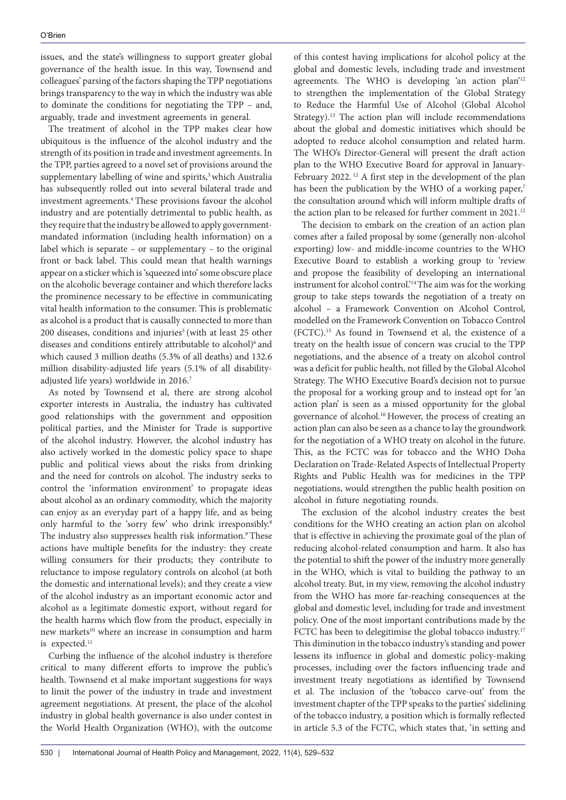issues, and the state's willingness to support greater global governance of the health issue. In this way, Townsend and colleagues' parsing of the factors shaping the TPP negotiations brings transparency to the way in which the industry was able to dominate the conditions for negotiating the TPP – and, arguably, trade and investment agreements in general.

The treatment of alcohol in the TPP makes clear how ubiquitous is the influence of the alcohol industry and the strength of its position in trade and investment agreements. In the TPP, parties agreed to a novel set of provisions around the supplementary labelling of wine and spirits,<sup>3</sup> which Australia has subsequently rolled out into several bilateral trade and investment agreements.4 These provisions favour the alcohol industry and are potentially detrimental to public health, as they require that the industry be allowed to apply governmentmandated information (including health information) on a label which is separate – or supplementary – to the original front or back label. This could mean that health warnings appear on a sticker which is 'squeezed into' some obscure place on the alcoholic beverage container and which therefore lacks the prominence necessary to be effective in communicating vital health information to the consumer. This is problematic as alcohol is a product that is causally connected to more than 200 diseases, conditions and injuries<sup>5</sup> (with at least 25 other diseases and conditions entirely attributable to alcohol)<sup>6</sup> and which caused 3 million deaths (5.3% of all deaths) and 132.6 million disability-adjusted life years (5.1% of all disabilityadjusted life years) worldwide in 2016.7

As noted by Townsend et al, there are strong alcohol exporter interests in Australia, the industry has cultivated good relationships with the government and opposition political parties, and the Minister for Trade is supportive of the alcohol industry. However, the alcohol industry has also actively worked in the domestic policy space to shape public and political views about the risks from drinking and the need for controls on alcohol. The industry seeks to control the 'information environment' to propagate ideas about alcohol as an ordinary commodity, which the majority can enjoy as an everyday part of a happy life, and as being only harmful to the 'sorry few' who drink irresponsibly.<sup>8</sup> The industry also suppresses health risk information.<sup>9</sup> These actions have multiple benefits for the industry: they create willing consumers for their products; they contribute to reluctance to impose regulatory controls on alcohol (at both the domestic and international levels); and they create a view of the alcohol industry as an important economic actor and alcohol as a legitimate domestic export, without regard for the health harms which flow from the product, especially in new markets<sup>10</sup> where an increase in consumption and harm is expected.<sup>11</sup>

Curbing the influence of the alcohol industry is therefore critical to many different efforts to improve the public's health. Townsend et al make important suggestions for ways to limit the power of the industry in trade and investment agreement negotiations. At present, the place of the alcohol industry in global health governance is also under contest in the World Health Organization (WHO), with the outcome

of this contest having implications for alcohol policy at the global and domestic levels, including trade and investment agreements. The WHO is developing 'an action plan'12 to strengthen the implementation of the Global Strategy to Reduce the Harmful Use of Alcohol (Global Alcohol Strategy).<sup>13</sup> The action plan will include recommendations about the global and domestic initiatives which should be adopted to reduce alcohol consumption and related harm. The WHO's Director-General will present the draft action plan to the WHO Executive Board for approval in January-February 2022.<sup>12</sup> A first step in the development of the plan has been the publication by the WHO of a working paper,<sup>7</sup> the consultation around which will inform multiple drafts of the action plan to be released for further comment in 2021.<sup>12</sup>

The decision to embark on the creation of an action plan comes after a failed proposal by some (generally non-alcohol exporting) low- and middle-income countries to the WHO Executive Board to establish a working group to 'review and propose the feasibility of developing an international instrument for alcohol control.'14 The aim was for the working group to take steps towards the negotiation of a treaty on alcohol – a Framework Convention on Alcohol Control, modelled on the Framework Convention on Tobacco Control (FCTC).15 As found in Townsend et al, the existence of a treaty on the health issue of concern was crucial to the TPP negotiations, and the absence of a treaty on alcohol control was a deficit for public health, not filled by the Global Alcohol Strategy. The WHO Executive Board's decision not to pursue the proposal for a working group and to instead opt for 'an action plan' is seen as a missed opportunity for the global governance of alcohol.16 However, the process of creating an action plan can also be seen as a chance to lay the groundwork for the negotiation of a WHO treaty on alcohol in the future. This, as the FCTC was for tobacco and the WHO Doha Declaration on Trade-Related Aspects of Intellectual Property Rights and Public Health was for medicines in the TPP negotiations, would strengthen the public health position on alcohol in future negotiating rounds.

The exclusion of the alcohol industry creates the best conditions for the WHO creating an action plan on alcohol that is effective in achieving the proximate goal of the plan of reducing alcohol-related consumption and harm. It also has the potential to shift the power of the industry more generally in the WHO, which is vital to building the pathway to an alcohol treaty. But, in my view, removing the alcohol industry from the WHO has more far-reaching consequences at the global and domestic level, including for trade and investment policy. One of the most important contributions made by the FCTC has been to delegitimise the global tobacco industry.<sup>17</sup> This diminution in the tobacco industry's standing and power lessens its influence in global and domestic policy-making processes, including over the factors influencing trade and investment treaty negotiations as identified by Townsend et al. The inclusion of the 'tobacco carve-out' from the investment chapter of the TPP speaks to the parties' sidelining of the tobacco industry, a position which is formally reflected in article 5.3 of the FCTC, which states that, 'in setting and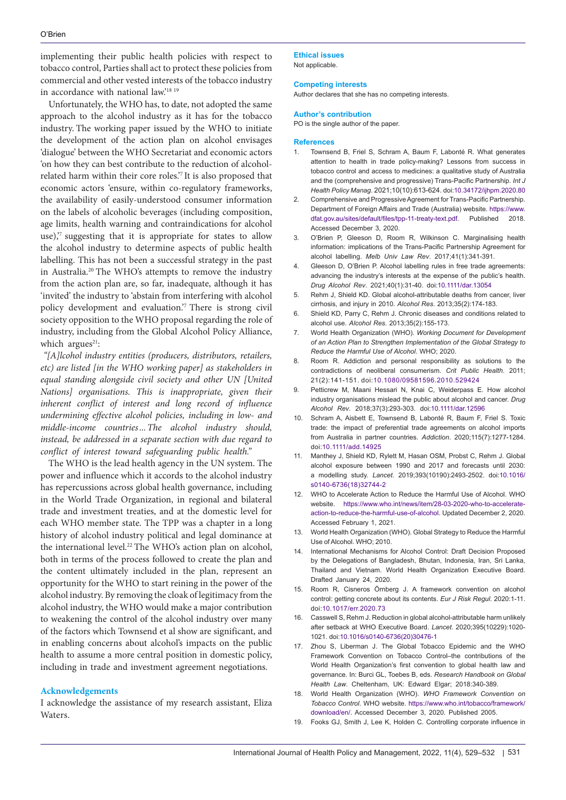implementing their public health policies with respect to tobacco control, Parties shall act to protect these policies from commercial and other vested interests of the tobacco industry in accordance with national law.'<sup>18 19</sup>

Unfortunately, the WHO has, to date, not adopted the same approach to the alcohol industry as it has for the tobacco industry. The working paper issued by the WHO to initiate the development of the action plan on alcohol envisages 'dialogue' between the WHO Secretariat and economic actors 'on how they can best contribute to the reduction of alcoholrelated harm within their core roles.'7 It is also proposed that economic actors 'ensure, within co-regulatory frameworks, the availability of easily-understood consumer information on the labels of alcoholic beverages (including composition, age limits, health warning and contraindications for alcohol use)," suggesting that it is appropriate for states to allow the alcohol industry to determine aspects of public health labelling. This has not been a successful strategy in the past in Australia.20 The WHO's attempts to remove the industry from the action plan are, so far, inadequate, although it has 'invited' the industry to 'abstain from interfering with alcohol policy development and evaluation.'7 There is strong civil society opposition to the WHO proposal regarding the role of industry, including from the Global Alcohol Policy Alliance, which argues $21$ :

*"[A]lcohol industry entities (producers, distributors, retailers, etc) are listed [in the WHO working paper] as stakeholders in equal standing alongside civil society and other UN [United Nations organisations. This is inappropriate, given their inherent conflict of interest and long record of influence undermining effective alcohol policies, including in low- and middle-income countries...The alcohol industry should, instead, be addressed in a separate section with due regard to conflict of interest toward safeguarding public health."*

The WHO is the lead health agency in the UN system. The power and influence which it accords to the alcohol industry has repercussions across global health governance, including in the World Trade Organization, in regional and bilateral trade and investment treaties, and at the domestic level for each WHO member state. The TPP was a chapter in a long history of alcohol industry political and legal dominance at the international level.<sup>22</sup> The WHO's action plan on alcohol, both in terms of the process followed to create the plan and the content ultimately included in the plan, represent an opportunity for the WHO to start reining in the power of the alcohol industry. By removing the cloak of legitimacy from the alcohol industry, the WHO would make a major contribution to weakening the control of the alcohol industry over many of the factors which Townsend et al show are significant, and in enabling concerns about alcohol's impacts on the public health to assume a more central position in domestic policy, including in trade and investment agreement negotiations.

## **Acknowledgements**

I acknowledge the assistance of my research assistant, Eliza Waters.

**Ethical issues** Not applicable.

### **Competing interests**

Author declares that she has no competing interests.

#### **Author's contribution**

PO is the single author of the paper.

#### **References**

- 1. Townsend B, Friel S, Schram A, Baum F, Labonté R. What generates attention to health in trade policy-making? Lessons from success in tobacco control and access to medicines: a qualitative study of Australia and the (comprehensive and progressive) Trans-Pacific Partnership. *Int J Health Policy Manag*. 2021;10(10):613-624. doi:[10.34172/ijhpm.2020.80](https://doi.org/10.34172/ijhpm.2020.80)
- 2. Comprehensive and Progressive Agreement for Trans-Pacific Partnership. Department of Foreign Affairs and Trade (Australia) website. [https://www.](https://www.dfat.gov.au/sites/default/files/tpp-11-treaty-text.pdf) [dfat.gov.au/sites/default/files/tpp-11-treaty-text.pdf](https://www.dfat.gov.au/sites/default/files/tpp-11-treaty-text.pdf). Published 2018. Accessed December 3, 2020.
- 3. O'Brien P, Gleeson D, Room R, Wilkinson C. Marginalising health information: implications of the Trans-Pacific Partnership Agreement for alcohol labelling. *Melb Univ Law Rev*. 2017;41(1):341-391.
- 4. Gleeson D, O'Brien P. Alcohol labelling rules in free trade agreements: advancing the industry's interests at the expense of the public's health. *Drug Alcohol Rev*. 2021;40(1):31-40. doi[:10.1111/dar.13054](https://doi.org/10.1111/dar.13054)
- 5. Rehm J, Shield KD. Global alcohol-attributable deaths from cancer, liver cirrhosis, and injury in 2010. *Alcohol Res*. 2013;35(2):174-183.
- 6. Shield KD, Parry C, Rehm J. Chronic diseases and conditions related to alcohol use. *Alcohol Res*. 2013;35(2):155-173.
- 7. World Health Organization (WHO). *Working Document for Development of an Action Plan to Strengthen Implementation of the Global Strategy to Reduce the Harmful Use of Alcohol*. WHO; 2020.
- 8. Room R. Addiction and personal responsibility as solutions to the contradictions of neoliberal consumerism. *Crit Public Health*. 2011; 21(2):141-151. doi:[10.1080/09581596.2010.529424](https://doi.org/10.1080/09581596.2010.529424)
- 9. Petticrew M, Maani Hessari N, Knai C, Weiderpass E. How alcohol industry organisations mislead the public about alcohol and cancer. *Drug Alcohol Rev*. 2018;37(3):293-303. doi[:10.1111/dar.12596](https://doi.org/10.1111/dar.12596)
- 10. Schram A, Aisbett E, Townsend B, Labonté R, Baum F, Friel S. Toxic trade: the impact of preferential trade agreements on alcohol imports from Australia in partner countries. *Addiction*. 2020;115(7):1277-1284. doi:[10.1111/add.14925](https://doi.org/10.1111/add.14925)
- 11. Manthey J, Shield KD, Rylett M, Hasan OSM, Probst C, Rehm J. Global alcohol exposure between 1990 and 2017 and forecasts until 2030: a modelling study. *Lancet*. 2019;393(10190):2493-2502. doi:[10.1016/](https://doi.org/10.1016/s0140-6736(18)32744-2) [s0140-6736\(18\)32744-2](https://doi.org/10.1016/s0140-6736(18)32744-2)
- 12. WHO to Accelerate Action to Reduce the Harmful Use of Alcohol. WHO website. [https://www.who.int/news/item/28-03-2020-who-to-accelerate](https://www.who.int/news/item/28-03-2020-who-to-accelerate-action-to-reduce-the-harmful-use-of-alcohol)[action-to-reduce-the-harmful-use-of-alcohol.](https://www.who.int/news/item/28-03-2020-who-to-accelerate-action-to-reduce-the-harmful-use-of-alcohol) Updated December 2, 2020. Accessed February 1, 2021.
- 13. World Health Organization (WHO). Global Strategy to Reduce the Harmful Use of Alcohol. WHO; 2010.
- 14. International Mechanisms for Alcohol Control: Draft Decision Proposed by the Delegations of Bangladesh, Bhutan, Indonesia, Iran, Sri Lanka, Thailand and Vietnam. World Health Organization Executive Board. Drafted January 24, 2020.
- 15. Room R, Cisneros Örnberg J. A framework convention on alcohol control: getting concrete about its contents. *Eur J Risk Regul*. 2020:1-11. doi:[10.1017/err.2020.73](https://doi.org/10.1017/err.2020.73)
- 16. Casswell S, Rehm J. Reduction in global alcohol-attributable harm unlikely after setback at WHO Executive Board. *Lancet*. 2020;395(10229):1020- 1021. doi:[10.1016/s0140-6736\(20\)30476-1](https://doi.org/10.1016/s0140-6736(20)30476-1)
- 17. Zhou S, Liberman J. The Global Tobacco Epidemic and the WHO Framework Convention on Tobacco Control–the contributions of the World Health Organization's first convention to global health law and governance. In: Burci GL, Toebes B, eds. *Research Handbook on Global Health Law*. Cheltenham, UK: Edward Elgar; 2018:340-389.
- 18. World Health Organization (WHO). *WHO Framework Convention on Tobacco Control*. WHO website. [https://www.who.int/tobacco/framework/](https://www.who.int/tobacco/framework/download/en/) [download/en/.](https://www.who.int/tobacco/framework/download/en/) Accessed December 3, 2020. Published 2005.
- 19. Fooks GJ, Smith J, Lee K, Holden C. Controlling corporate influence in